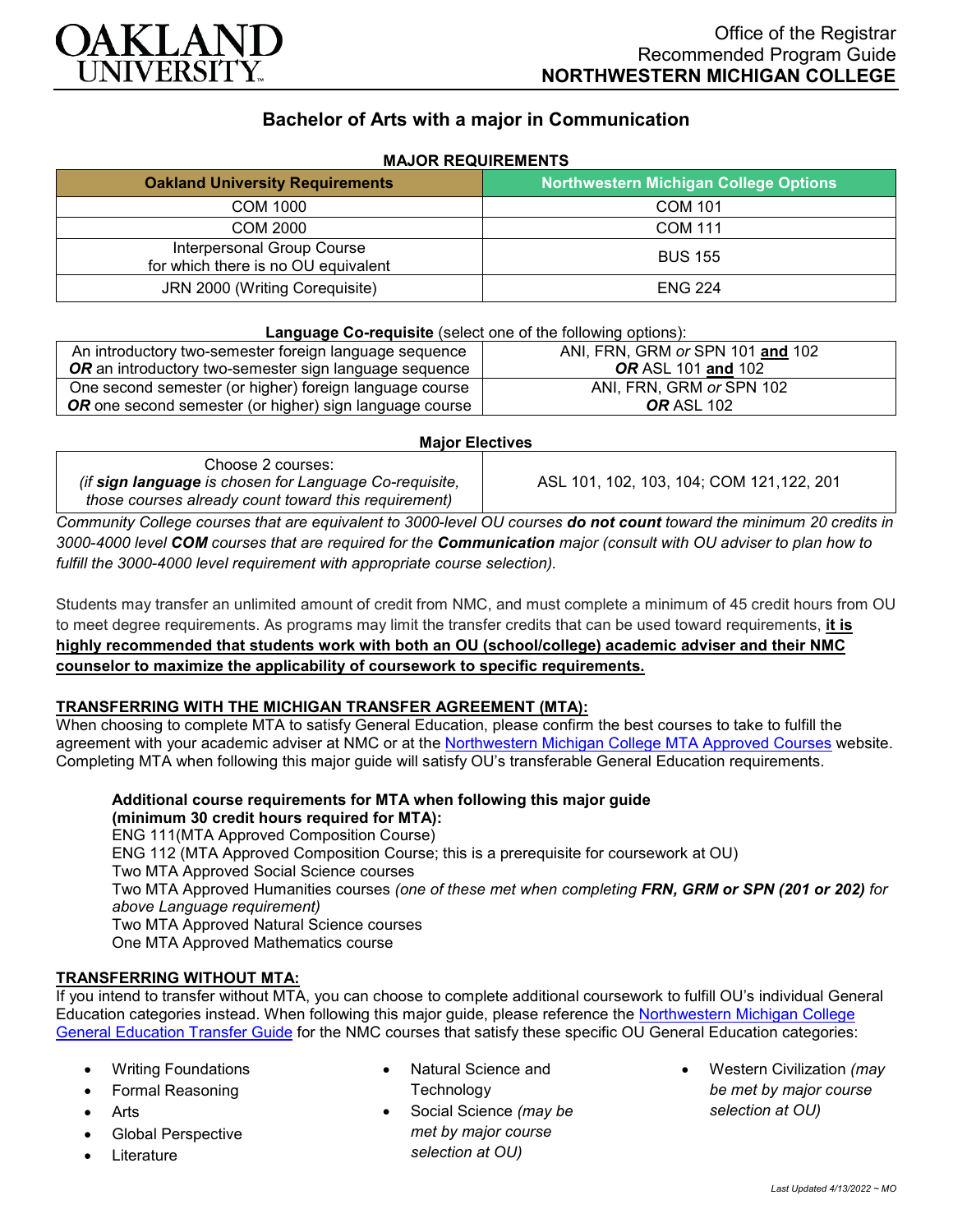

# **Bachelor of Arts with a major in Communication**

| <b>Oakland University Requirements</b>                            | Northwestern Michigan College Options |
|-------------------------------------------------------------------|---------------------------------------|
| <b>COM 1000</b>                                                   | <b>COM 101</b>                        |
| COM 2000                                                          | <b>COM 111</b>                        |
| Interpersonal Group Course<br>for which there is no OU equivalent | <b>BUS 155</b>                        |
| JRN 2000 (Writing Corequisite)                                    | <b>ENG 224</b>                        |

## **MAJOR REQUIREMENTS**

#### **Language Co-requisite** (select one of the following options):

| An introductory two-semester foreign language sequence  | ANI, FRN, GRM or SPN 101 and 102 |
|---------------------------------------------------------|----------------------------------|
| OR an introductory two-semester sign language sequence  | <b>OR</b> ASL 101 and 102        |
| One second semester (or higher) foreign language course | ANI, FRN, GRM or SPN 102         |
| OR one second semester (or higher) sign language course | <b>OR ASL 102</b>                |
|                                                         |                                  |

#### **Major Electives**

Choose 2 courses: *(if sign language is chosen for Language Co-requisite, those courses already count toward this requirement)*

ASL 101, 102, 103, 104; COM 121,122, 201

*Community College courses that are equivalent to 3000-level OU courses do not count toward the minimum 20 credits in 3000-4000 level COM courses that are required for the Communication major (consult with OU adviser to plan how to fulfill the 3000-4000 level requirement with appropriate course selection).*

Students may transfer an unlimited amount of credit from NMC, and must complete a minimum of 45 credit hours from OU to meet degree requirements. As programs may limit the transfer credits that can be used toward requirements, **it is highly recommended that students work with both an OU (school/college) academic adviser and their NMC counselor to maximize the applicability of coursework to specific requirements.**

### **TRANSFERRING WITH THE MICHIGAN TRANSFER AGREEMENT (MTA):**

When choosing to complete MTA to satisfy General Education, please confirm the best courses to take to fulfill the agreement with your academic adviser at NMC or at the [Northwestern Michigan College MTA Approved Courses](https://www.nmc.edu/programs/course-descriptions/group-1-courses-for-mta.pdf) website. Completing MTA when following this major guide will satisfy OU's transferable General Education requirements.

**Additional course requirements for MTA when following this major guide (minimum 30 credit hours required for MTA):** ENG 111(MTA Approved Composition Course) ENG 112 (MTA Approved Composition Course; this is a prerequisite for coursework at OU) Two MTA Approved Social Science courses Two MTA Approved Humanities courses *(one of these met when completing FRN, GRM or SPN (201 or 202) for above Language requirement)* Two MTA Approved Natural Science courses One MTA Approved Mathematics course

### **TRANSFERRING WITHOUT MTA:**

If you intend to transfer without MTA, you can choose to complete additional coursework to fulfill OU's individual General Education categories instead. When following this major guide, please reference the [Northwestern Michigan College](https://www.oakland.edu/Assets/Oakland/program-guides/northwestern-michigan-college/university-general-education-requirements/Northwestern%20Gen%20Ed.pdf)  [General Education Transfer Guide](https://www.oakland.edu/Assets/Oakland/program-guides/northwestern-michigan-college/university-general-education-requirements/Northwestern%20Gen%20Ed.pdf) for the NMC courses that satisfy these specific OU General Education categories:

- Writing Foundations
- Formal Reasoning
- **Arts**
- Global Perspective
- **Literature**
- Natural Science and
	- **Technology**
- Social Science *(may be met by major course selection at OU)*
- Western Civilization *(may be met by major course selection at OU)*